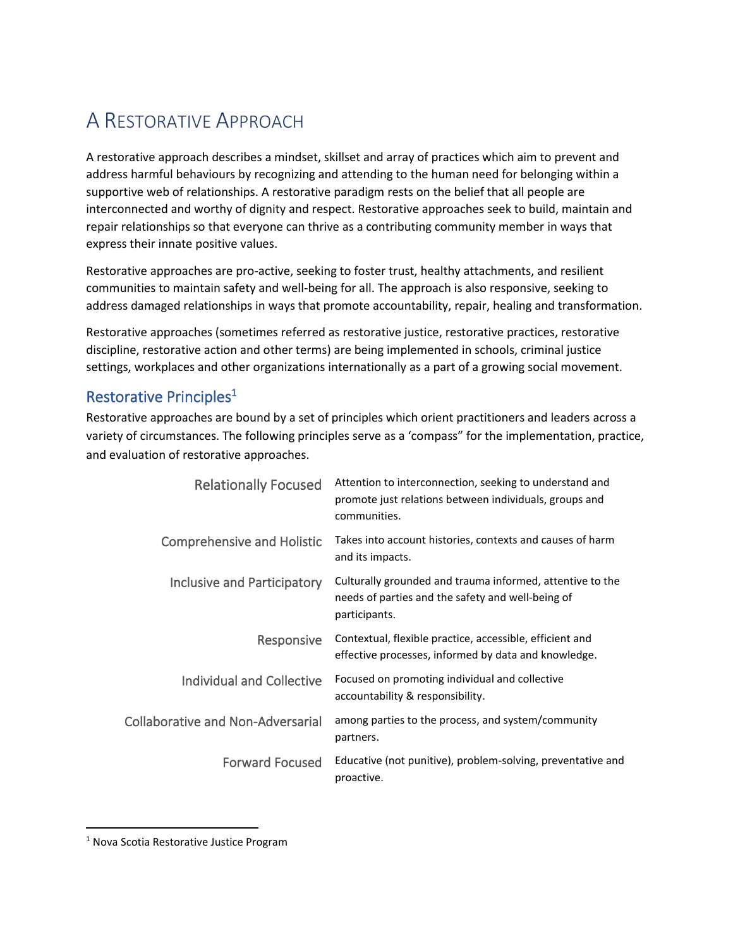## A RESTORATIVE APPROACH

A restorative approach describes a mindset, skillset and array of practices which aim to prevent and address harmful behaviours by recognizing and attending to the human need for belonging within a supportive web of relationships. A restorative paradigm rests on the belief that all people are interconnected and worthy of dignity and respect. Restorative approaches seek to build, maintain and repair relationships so that everyone can thrive as a contributing community member in ways that express their innate positive values.

Restorative approaches are pro-active, seeking to foster trust, healthy attachments, and resilient communities to maintain safety and well-being for all. The approach is also responsive, seeking to address damaged relationships in ways that promote accountability, repair, healing and transformation.

Restorative approaches (sometimes referred as restorative justice, restorative practices, restorative discipline, restorative action and other terms) are being implemented in schools, criminal justice settings, workplaces and other organizations internationally as a part of a growing social movement.

## Restorative Principles<sup>1</sup>

Restorative approaches are bound by a set of principles which orient practitioners and leaders across a variety of circumstances. The following principles serve as a 'compass" for the implementation, practice, and evaluation of restorative approaches.

| <b>Relationally Focused</b>              | Attention to interconnection, seeking to understand and<br>promote just relations between individuals, groups and<br>communities. |
|------------------------------------------|-----------------------------------------------------------------------------------------------------------------------------------|
| <b>Comprehensive and Holistic</b>        | Takes into account histories, contexts and causes of harm<br>and its impacts.                                                     |
| Inclusive and Participatory              | Culturally grounded and trauma informed, attentive to the<br>needs of parties and the safety and well-being of<br>participants.   |
| <b>Responsive</b>                        | Contextual, flexible practice, accessible, efficient and<br>effective processes, informed by data and knowledge.                  |
| Individual and Collective                | Focused on promoting individual and collective<br>accountability & responsibility.                                                |
| <b>Collaborative and Non-Adversarial</b> | among parties to the process, and system/community<br>partners.                                                                   |
| <b>Forward Focused</b>                   | Educative (not punitive), problem-solving, preventative and<br>proactive.                                                         |

<sup>1</sup> Nova Scotia Restorative Justice Program